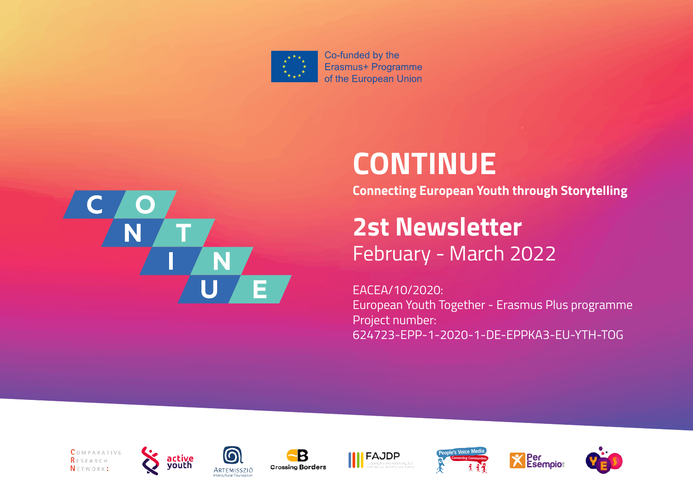

Co-funded by the Erasmus+ Programme of the European Union



# **CONTINUE**

**Connecting European Youth through Storytelling** 

**2st Newsletter** February - March 2022

EACEA/10/2020: European Youth Together - Erasmus Plus programme Project number: 624723-EPP-1-2020-1-DE-EPPKA3-EU-YTH-TOG















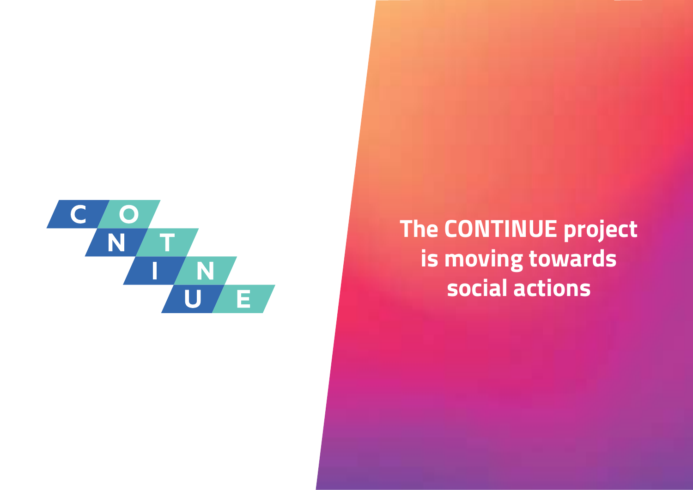

## **The CONTINUE project is moving towards social actions**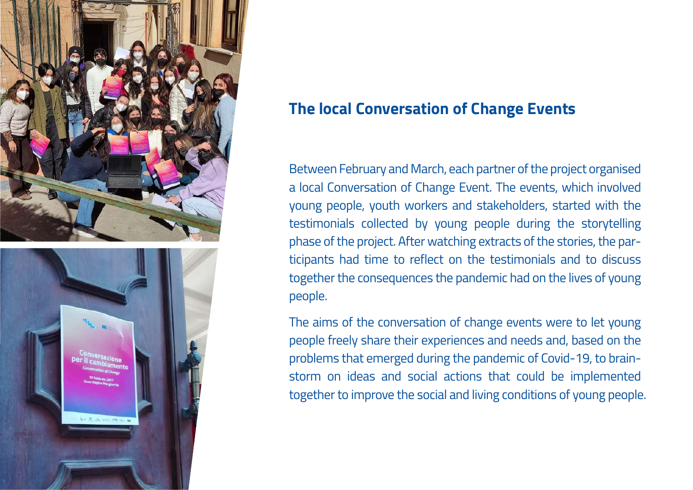

#### **The local Conversation of Change Events**

Between February and March, each partner of the project organised a local Conversation of Change Event. The events, which involved young people, youth workers and stakeholders, started with the testimonials collected by young people during the storytelling phase of the project. After watching extracts of the stories, the participants had time to reflect on the testimonials and to discuss together the consequences the pandemic had on the lives of young people.

The aims of the conversation of change events were to let young people freely share their experiences and needs and, based on the problems that emerged during the pandemic of Covid-19, to brainstorm on ideas and social actions that could be implemented together to improve the social and living conditions of young people.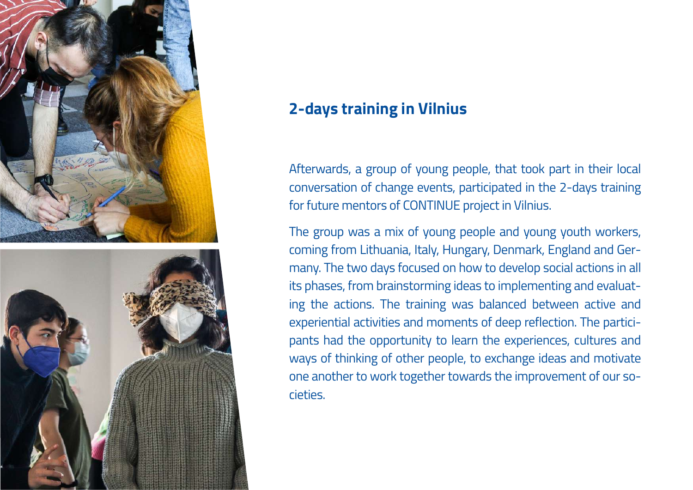



#### **2-days training in Vilnius**

Afterwards, a group of young people, that took part in their local conversation of change events, participated in the 2-days training for future mentors of CONTINUE project in Vilnius.

The group was a mix of young people and young youth workers, coming from Lithuania, Italy, Hungary, Denmark, England and Germany. The two days focused on how to develop social actions in all its phases, from brainstorming ideas to implementing and evaluating the actions. The training was balanced between active and experiential activities and moments of deep reflection. The participants had the opportunity to learn the experiences, cultures and ways of thinking of other people, to exchange ideas and motivate one another to work together towards the improvement of our societies.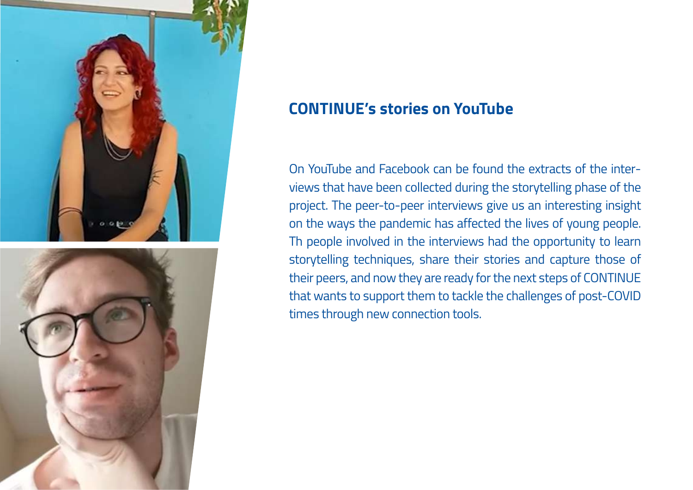



#### **CONTINUE's stories on YouTube**

On YouTube and Facebook can be found the extracts of the interviews that have been collected during the storytelling phase of the project. The peer-to-peer interviews give us an interesting insight on the ways the pandemic has affected the lives of young people. Th people involved in the interviews had the opportunity to learn storytelling techniques, share their stories and capture those of their peers, and now they are ready for the next steps of CONTINUE that wants to support them to tackle the challenges of post-COVID times through new connection tools.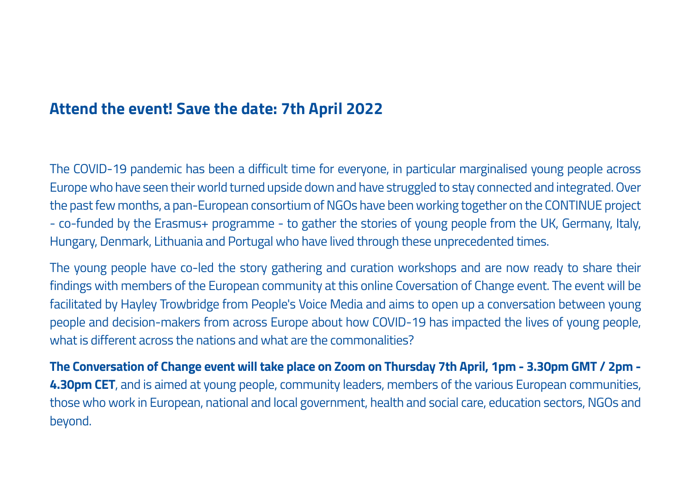#### **Attend the event! Save the date: 7th April 2022**

The COVID-19 pandemic has been a difficult time for everyone, in particular marginalised young people across Europe who have seen their world turned upside down and have struggled to stay connected and integrated. Over the past few months, a pan-European consortium of NGOs have been working together on the CONTINUE project - co-funded by the Erasmus+ programme - to gather the stories of young people from the UK, Germany, Italy, Hungary, Denmark, Lithuania and Portugal who have lived through these unprecedented times.

The young people have co-led the story gathering and curation workshops and are now ready to share their findings with members of the European community at this online Coversation of Change event. The event will be facilitated by Hayley Trowbridge from People's Voice Media and aims to open up a conversation between young people and decision-makers from across Europe about how COVID-19 has impacted the lives of young people, what is different across the nations and what are the commonalities?

**The Conversation of Change event will take place on Zoom on Thursday 7th April, 1pm - 3.30pm GMT / 2pm - 4.30pm CET**, and is aimed at young people, community leaders, members of the various European communities, those who work in European, national and local government, health and social care, education sectors, NGOs and beyond.